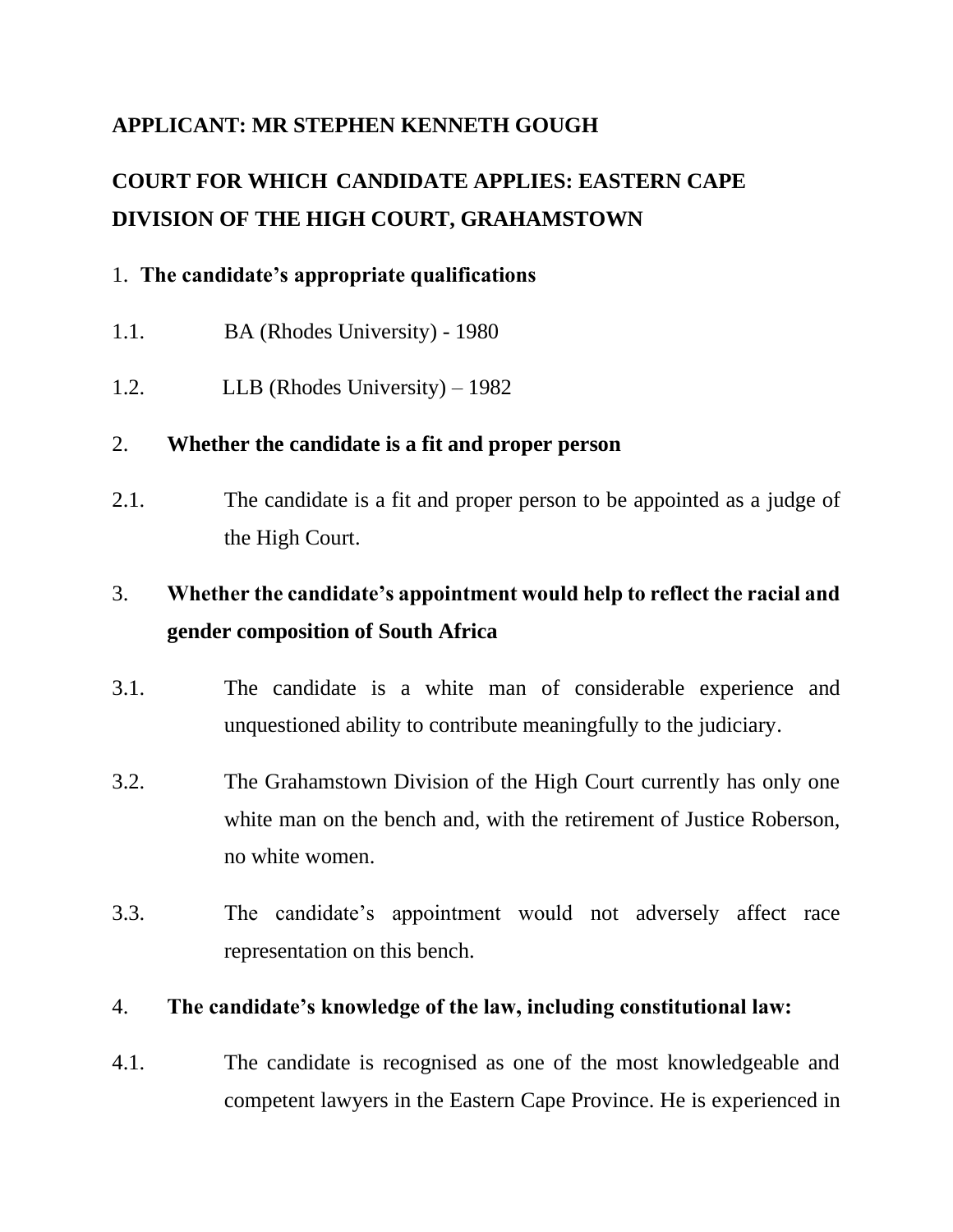## **APPLICANT: MR STEPHEN KENNETH GOUGH**

# **COURT FOR WHICH CANDIDATE APPLIES: EASTERN CAPE DIVISION OF THE HIGH COURT, GRAHAMSTOWN**

## 1. **The candidate's appropriate qualifications**

- 1.1. BA (Rhodes University) 1980
- 1.2. LLB (Rhodes University) 1982

## 2. **Whether the candidate is a fit and proper person**

2.1. The candidate is a fit and proper person to be appointed as a judge of the High Court.

## 3. **Whether the candidate's appointment would help to reflect the racial and gender composition of South Africa**

- 3.1. The candidate is a white man of considerable experience and unquestioned ability to contribute meaningfully to the judiciary.
- 3.2. The Grahamstown Division of the High Court currently has only one white man on the bench and, with the retirement of Justice Roberson, no white women.
- 3.3. The candidate's appointment would not adversely affect race representation on this bench.

#### 4. **The candidate's knowledge of the law, including constitutional law:**

4.1. The candidate is recognised as one of the most knowledgeable and competent lawyers in the Eastern Cape Province. He is experienced in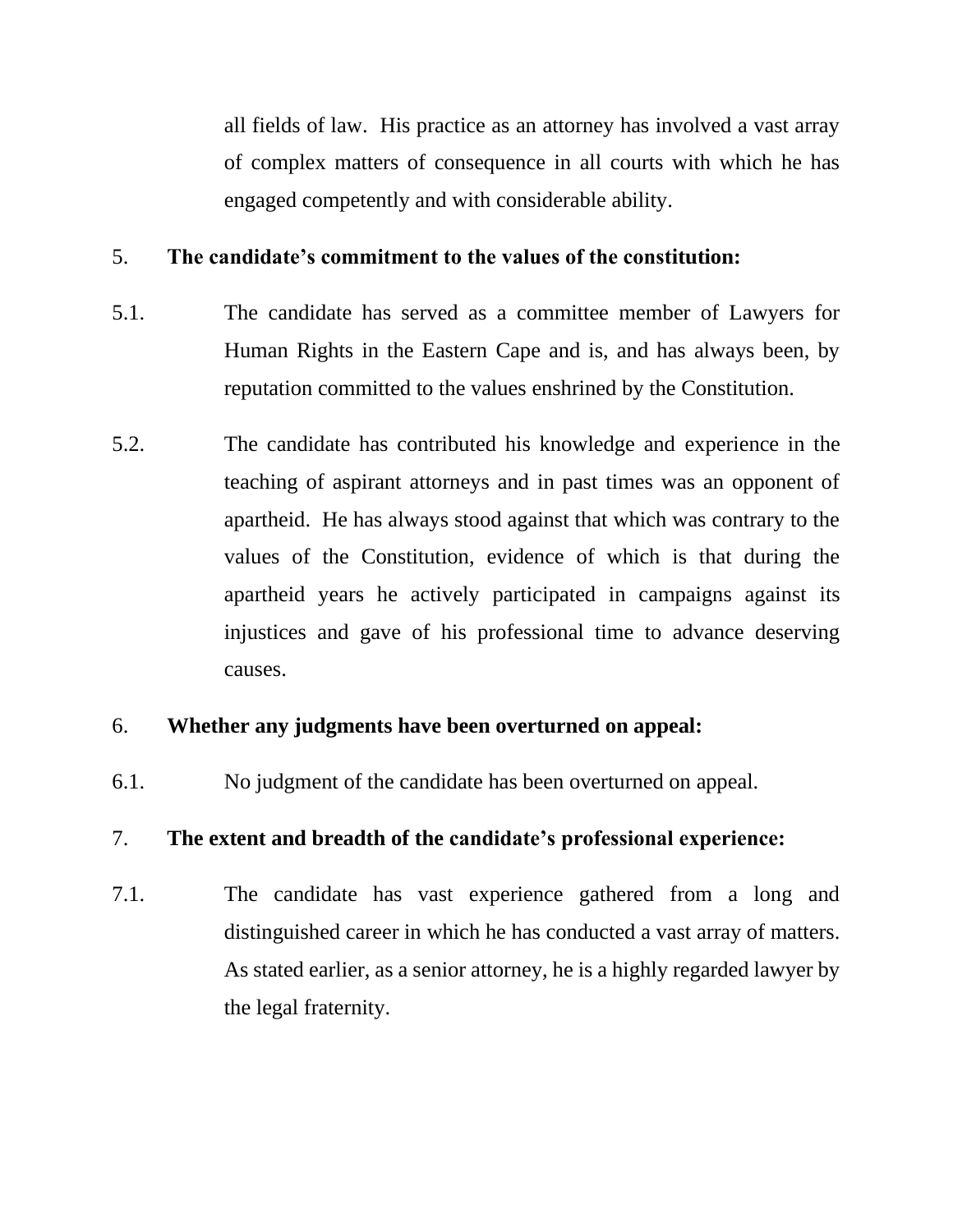all fields of law. His practice as an attorney has involved a vast array of complex matters of consequence in all courts with which he has engaged competently and with considerable ability.

#### 5. **The candidate's commitment to the values of the constitution:**

- 5.1. The candidate has served as a committee member of Lawyers for Human Rights in the Eastern Cape and is, and has always been, by reputation committed to the values enshrined by the Constitution.
- 5.2. The candidate has contributed his knowledge and experience in the teaching of aspirant attorneys and in past times was an opponent of apartheid. He has always stood against that which was contrary to the values of the Constitution, evidence of which is that during the apartheid years he actively participated in campaigns against its injustices and gave of his professional time to advance deserving causes.

#### 6. **Whether any judgments have been overturned on appeal:**

6.1. No judgment of the candidate has been overturned on appeal.

#### 7. **The extent and breadth of the candidate's professional experience:**

7.1. The candidate has vast experience gathered from a long and distinguished career in which he has conducted a vast array of matters. As stated earlier, as a senior attorney, he is a highly regarded lawyer by the legal fraternity.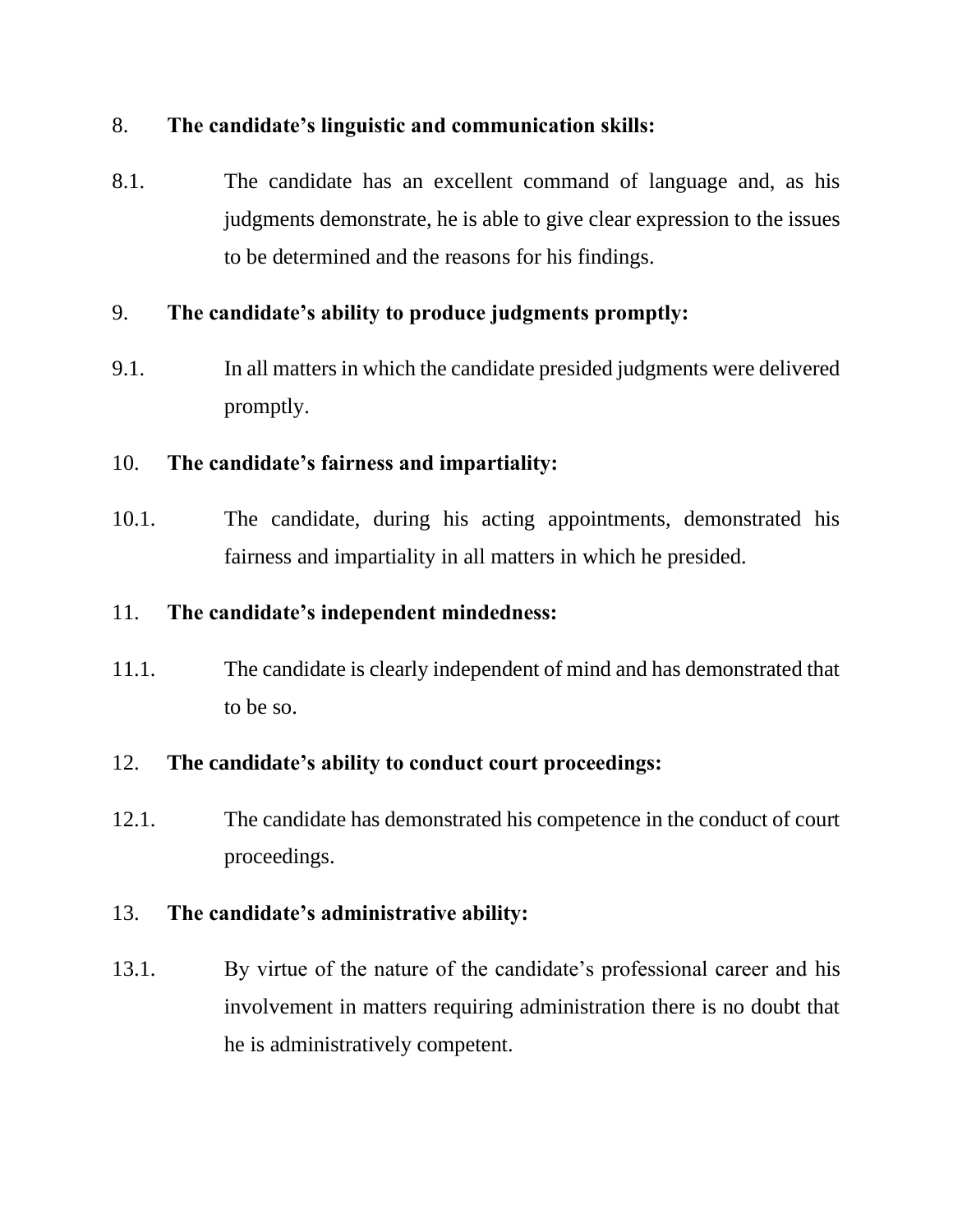## 8. **The candidate's linguistic and communication skills:**

8.1. The candidate has an excellent command of language and, as his judgments demonstrate, he is able to give clear expression to the issues to be determined and the reasons for his findings.

## 9. **The candidate's ability to produce judgments promptly:**

9.1. In all matters in which the candidate presided judgments were delivered promptly.

## 10. **The candidate's fairness and impartiality:**

10.1. The candidate, during his acting appointments, demonstrated his fairness and impartiality in all matters in which he presided.

#### 11. **The candidate's independent mindedness:**

11.1. The candidate is clearly independent of mind and has demonstrated that to be so.

## 12. **The candidate's ability to conduct court proceedings:**

12.1. The candidate has demonstrated his competence in the conduct of court proceedings.

## 13. **The candidate's administrative ability:**

13.1. By virtue of the nature of the candidate's professional career and his involvement in matters requiring administration there is no doubt that he is administratively competent.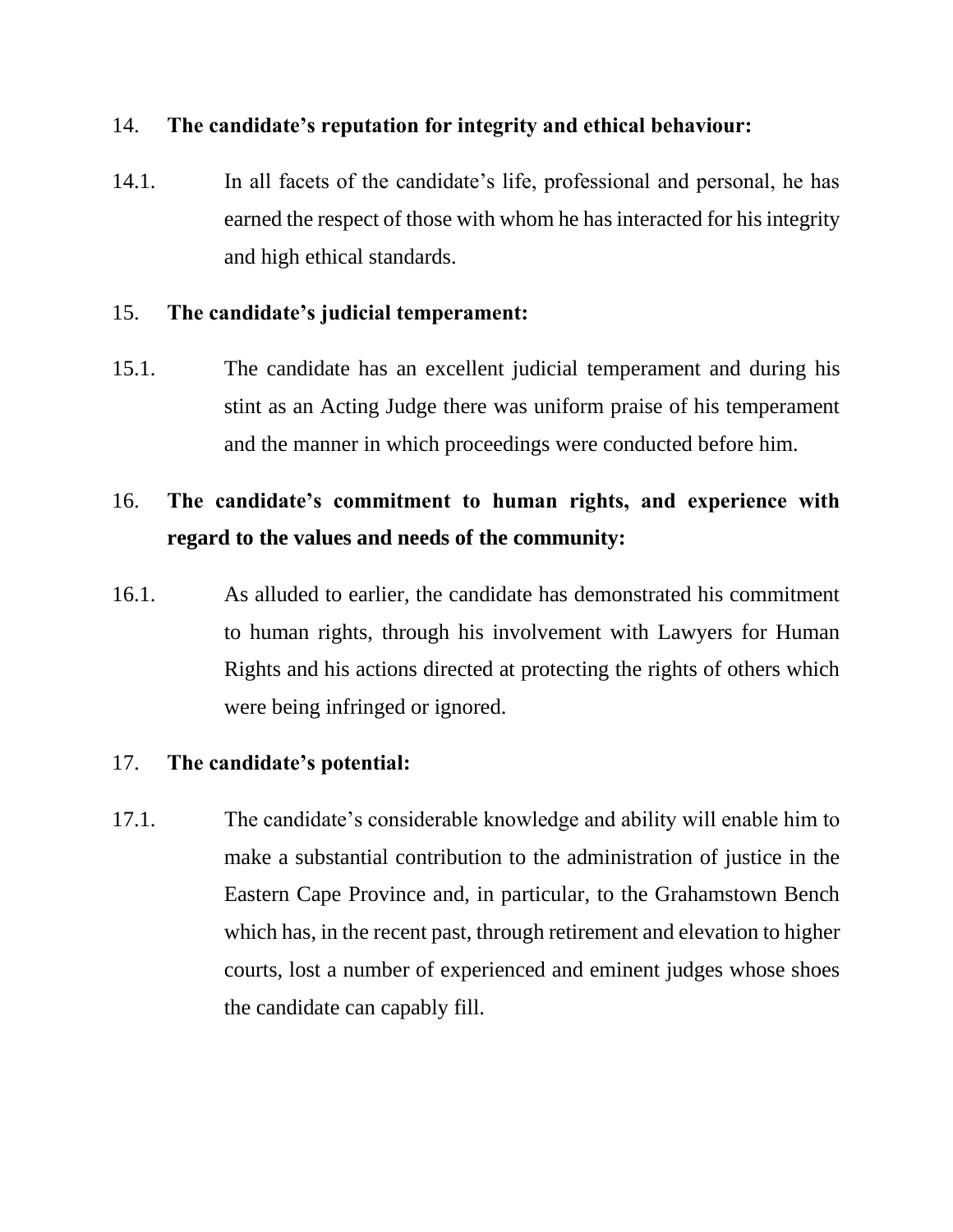#### 14. **The candidate's reputation for integrity and ethical behaviour:**

14.1. In all facets of the candidate's life, professional and personal, he has earned the respect of those with whom he has interacted for his integrity and high ethical standards.

#### 15. **The candidate's judicial temperament:**

15.1. The candidate has an excellent judicial temperament and during his stint as an Acting Judge there was uniform praise of his temperament and the manner in which proceedings were conducted before him.

## 16. **The candidate's commitment to human rights, and experience with regard to the values and needs of the community:**

16.1. As alluded to earlier, the candidate has demonstrated his commitment to human rights, through his involvement with Lawyers for Human Rights and his actions directed at protecting the rights of others which were being infringed or ignored.

#### 17. **The candidate's potential:**

17.1. The candidate's considerable knowledge and ability will enable him to make a substantial contribution to the administration of justice in the Eastern Cape Province and, in particular, to the Grahamstown Bench which has, in the recent past, through retirement and elevation to higher courts, lost a number of experienced and eminent judges whose shoes the candidate can capably fill.